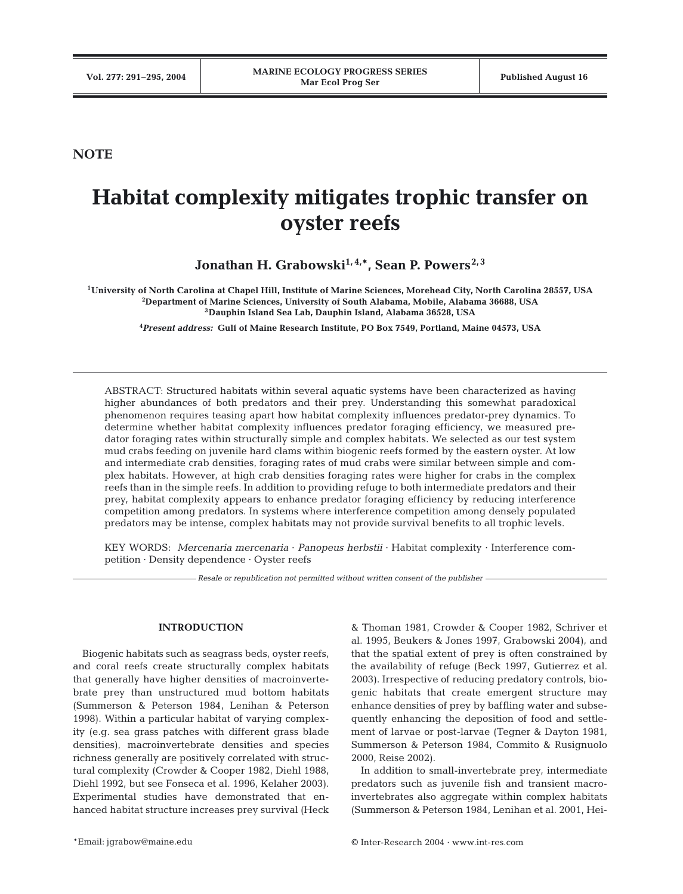**NOTE**

# **Habitat complexity mitigates trophic transfer on oyster reefs**

Jonathan H. Grabowski<sup>1, 4,\*</sup>, Sean P. Powers<sup>2, 3</sup>

**1University of North Carolina at Chapel Hill, Institute of Marine Sciences, Morehead City, North Carolina 28557, USA 2 Department of Marine Sciences, University of South Alabama, Mobile, Alabama 36688, USA 3Dauphin Island Sea Lab, Dauphin Island, Alabama 36528, USA**

**4** *Present address:* **Gulf of Maine Research Institute, PO Box 7549, Portland, Maine 04573, USA**

ABSTRACT: Structured habitats within several aquatic systems have been characterized as having higher abundances of both predators and their prey. Understanding this somewhat paradoxical phenomenon requires teasing apart how habitat complexity influences predator-prey dynamics. To determine whether habitat complexity influences predator foraging efficiency, we measured predator foraging rates within structurally simple and complex habitats. We selected as our test system mud crabs feeding on juvenile hard clams within biogenic reefs formed by the eastern oyster. At low and intermediate crab densities, foraging rates of mud crabs were similar between simple and complex habitats. However, at high crab densities foraging rates were higher for crabs in the complex reefs than in the simple reefs. In addition to providing refuge to both intermediate predators and their prey, habitat complexity appears to enhance predator foraging efficiency by reducing interference competition among predators. In systems where interference competition among densely populated predators may be intense, complex habitats may not provide survival benefits to all trophic levels.

KEY WORDS: *Mercenaria mercenaria* · *Panopeus herbstii* · Habitat complexity · Interference competition · Density dependence · Oyster reefs

*Resale or republication not permitted without written consent of the publisher*

## **INTRODUCTION**

Biogenic habitats such as seagrass beds, oyster reefs, and coral reefs create structurally complex habitats that generally have higher densities of macroinvertebrate prey than unstructured mud bottom habitats (Summerson & Peterson 1984, Lenihan & Peterson 1998). Within a particular habitat of varying complexity (e.g. sea grass patches with different grass blade densities), macroinvertebrate densities and species richness generally are positively correlated with structural complexity (Crowder & Cooper 1982, Diehl 1988, Diehl 1992, but see Fonseca et al. 1996, Kelaher 2003). Experimental studies have demonstrated that enhanced habitat structure increases prey survival (Heck & Thoman 1981, Crowder & Cooper 1982, Schriver et al. 1995, Beukers & Jones 1997, Grabowski 2004), and that the spatial extent of prey is often constrained by the availability of refuge (Beck 1997, Gutierrez et al. 2003). Irrespective of reducing predatory controls, biogenic habitats that create emergent structure may enhance densities of prey by baffling water and subsequently enhancing the deposition of food and settlement of larvae or post-larvae (Tegner & Dayton 1981, Summerson & Peterson 1984, Commito & Rusignuolo 2000, Reise 2002).

In addition to small-invertebrate prey, intermediate predators such as juvenile fish and transient macroinvertebrates also aggregate within complex habitats (Summerson & Peterson 1984, Lenihan et al. 2001, Hei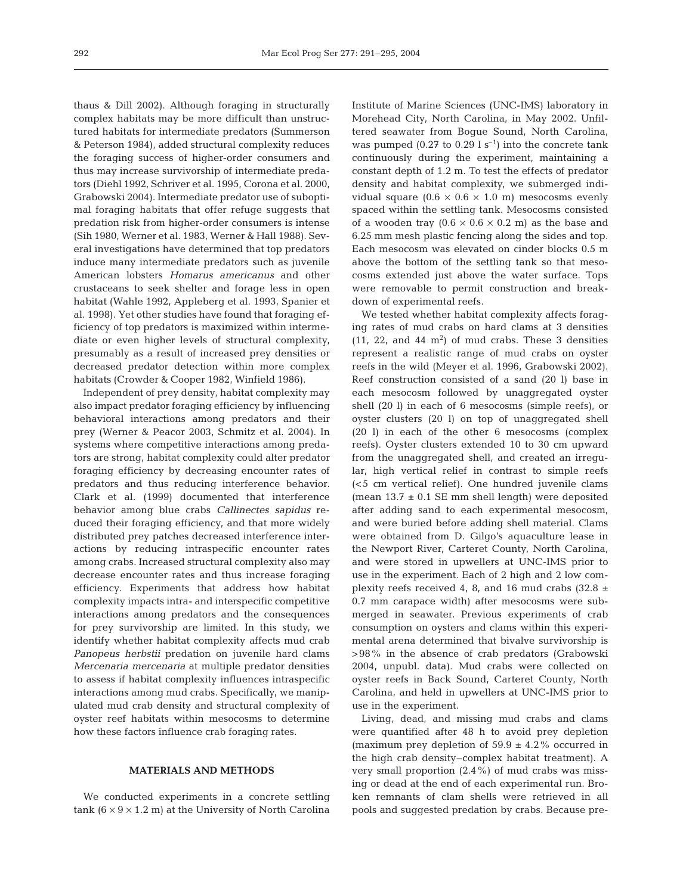thaus & Dill 2002). Although foraging in structurally complex habitats may be more difficult than unstructured habitats for intermediate predators (Summerson & Peterson 1984), added structural complexity reduces the foraging success of higher-order consumers and thus may increase survivorship of intermediate predators (Diehl 1992, Schriver et al. 1995, Corona et al. 2000, Grabowski 2004). Intermediate predator use of suboptimal foraging habitats that offer refuge suggests that predation risk from higher-order consumers is intense (Sih 1980, Werner et al. 1983, Werner & Hall 1988). Several investigations have determined that top predators induce many intermediate predators such as juvenile American lobsters *Homarus americanus* and other crustaceans to seek shelter and forage less in open habitat (Wahle 1992, Appleberg et al. 1993, Spanier et al. 1998). Yet other studies have found that foraging efficiency of top predators is maximized within intermediate or even higher levels of structural complexity, presumably as a result of increased prey densities or decreased predator detection within more complex habitats (Crowder & Cooper 1982, Winfield 1986).

Independent of prey density, habitat complexity may also impact predator foraging efficiency by influencing behavioral interactions among predators and their prey (Werner & Peacor 2003, Schmitz et al. 2004). In systems where competitive interactions among predators are strong, habitat complexity could alter predator foraging efficiency by decreasing encounter rates of predators and thus reducing interference behavior. Clark et al. (1999) documented that interference behavior among blue crabs *Callinectes sapidus* reduced their foraging efficiency, and that more widely distributed prey patches decreased interference interactions by reducing intraspecific encounter rates among crabs. Increased structural complexity also may decrease encounter rates and thus increase foraging efficiency. Experiments that address how habitat complexity impacts intra- and interspecific competitive interactions among predators and the consequences for prey survivorship are limited. In this study, we identify whether habitat complexity affects mud crab *Panopeus herbstii* predation on juvenile hard clams *Mercenaria mercenaria* at multiple predator densities to assess if habitat complexity influences intraspecific interactions among mud crabs. Specifically, we manipulated mud crab density and structural complexity of oyster reef habitats within mesocosms to determine how these factors influence crab foraging rates.

### **MATERIALS AND METHODS**

We conducted experiments in a concrete settling tank  $(6 \times 9 \times 1.2 \text{ m})$  at the University of North Carolina Institute of Marine Sciences (UNC-IMS) laboratory in Morehead City, North Carolina, in May 2002. Unfiltered seawater from Bogue Sound, North Carolina, was pumped  $(0.27 \text{ to } 0.29 \text{ l s}^{-1})$  into the concrete tank continuously during the experiment, maintaining a constant depth of 1.2 m. To test the effects of predator density and habitat complexity, we submerged individual square  $(0.6 \times 0.6 \times 1.0 \text{ m})$  mesocosms evenly spaced within the settling tank. Mesocosms consisted of a wooden tray  $(0.6 \times 0.6 \times 0.2 \text{ m})$  as the base and 6.25 mm mesh plastic fencing along the sides and top. Each mesocosm was elevated on cinder blocks 0.5 m above the bottom of the settling tank so that mesocosms extended just above the water surface. Tops were removable to permit construction and breakdown of experimental reefs.

We tested whether habitat complexity affects foraging rates of mud crabs on hard clams at 3 densities  $(11, 22,$  and  $44 \text{ m}^2)$  of mud crabs. These 3 densities represent a realistic range of mud crabs on oyster reefs in the wild (Meyer et al. 1996, Grabowski 2002). Reef construction consisted of a sand (20 l) base in each mesocosm followed by unaggregated oyster shell (20 l) in each of 6 mesocosms (simple reefs), or oyster clusters (20 l) on top of unaggregated shell (20 l) in each of the other 6 mesocosms (complex reefs). Oyster clusters extended 10 to 30 cm upward from the unaggregated shell, and created an irregular, high vertical relief in contrast to simple reefs (<5 cm vertical relief). One hundred juvenile clams (mean  $13.7 \pm 0.1$  SE mm shell length) were deposited after adding sand to each experimental mesocosm, and were buried before adding shell material. Clams were obtained from D. Gilgo's aquaculture lease in the Newport River, Carteret County, North Carolina, and were stored in upwellers at UNC-IMS prior to use in the experiment. Each of 2 high and 2 low complexity reefs received 4, 8, and 16 mud crabs  $(32.8 \pm$ 0.7 mm carapace width) after mesocosms were submerged in seawater. Previous experiments of crab consumption on oysters and clams within this experimental arena determined that bivalve survivorship is >98% in the absence of crab predators (Grabowski 2004, unpubl. data). Mud crabs were collected on oyster reefs in Back Sound, Carteret County, North Carolina, and held in upwellers at UNC-IMS prior to use in the experiment.

Living, dead, and missing mud crabs and clams were quantified after 48 h to avoid prey depletion (maximum prey depletion of  $59.9 \pm 4.2$ % occurred in the high crab density–complex habitat treatment). A very small proportion (2.4%) of mud crabs was missing or dead at the end of each experimental run. Broken remnants of clam shells were retrieved in all pools and suggested predation by crabs. Because pre-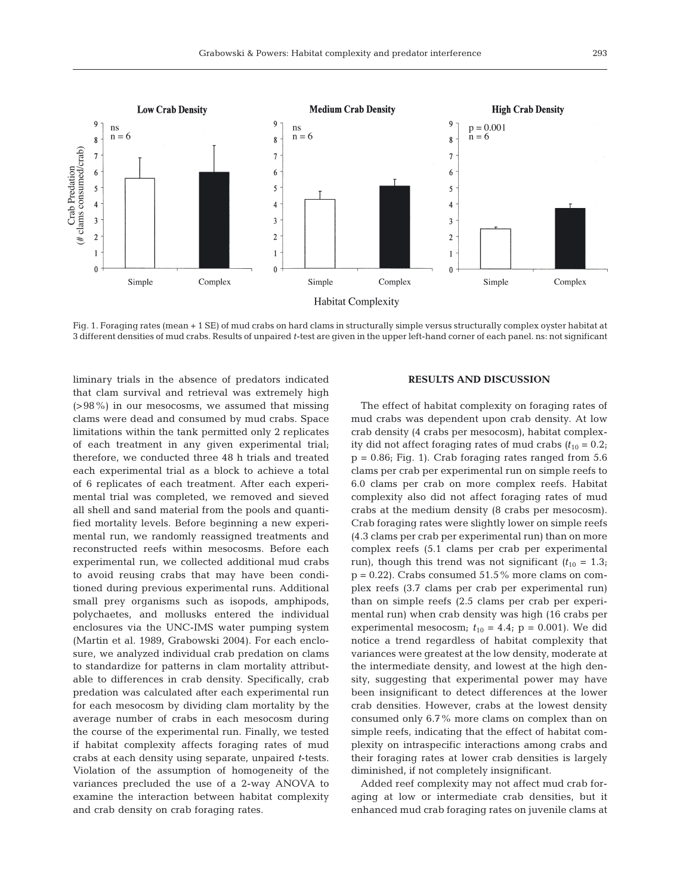

Fig. 1. Foraging rates (mean + 1 SE) of mud crabs on hard clams in structurally simple versus structurally complex oyster habitat at 3 different densities of mud crabs. Results of unpaired *t*-test are given in the upper left-hand corner of each panel. ns: not significant

liminary trials in the absence of predators indicated that clam survival and retrieval was extremely high (>98%) in our mesocosms, we assumed that missing clams were dead and consumed by mud crabs. Space limitations within the tank permitted only 2 replicates of each treatment in any given experimental trial; therefore, we conducted three 48 h trials and treated each experimental trial as a block to achieve a total of 6 replicates of each treatment. After each experimental trial was completed, we removed and sieved all shell and sand material from the pools and quantified mortality levels. Before beginning a new experimental run, we randomly reassigned treatments and reconstructed reefs within mesocosms. Before each experimental run, we collected additional mud crabs to avoid reusing crabs that may have been conditioned during previous experimental runs. Additional small prey organisms such as isopods, amphipods, polychaetes, and mollusks entered the individual enclosures via the UNC-IMS water pumping system (Martin et al. 1989, Grabowski 2004). For each enclosure, we analyzed individual crab predation on clams to standardize for patterns in clam mortality attributable to differences in crab density. Specifically, crab predation was calculated after each experimental run for each mesocosm by dividing clam mortality by the average number of crabs in each mesocosm during the course of the experimental run. Finally, we tested if habitat complexity affects foraging rates of mud crabs at each density using separate, unpaired *t*-tests. Violation of the assumption of homogeneity of the variances precluded the use of a 2-way ANOVA to examine the interaction between habitat complexity and crab density on crab foraging rates.

## **RESULTS AND DISCUSSION**

The effect of habitat complexity on foraging rates of mud crabs was dependent upon crab density. At low crab density (4 crabs per mesocosm), habitat complexity did not affect foraging rates of mud crabs  $(t_{10} = 0.2$ ;  $p = 0.86$ ; Fig. 1). Crab foraging rates ranged from  $5.6$ clams per crab per experimental run on simple reefs to 6.0 clams per crab on more complex reefs. Habitat complexity also did not affect foraging rates of mud crabs at the medium density (8 crabs per mesocosm). Crab foraging rates were slightly lower on simple reefs (4.3 clams per crab per experimental run) than on more complex reefs (5.1 clams per crab per experimental run), though this trend was not significant  $(t_{10} = 1.3;$  $p = 0.22$ ). Crabs consumed 51.5% more clams on complex reefs (3.7 clams per crab per experimental run) than on simple reefs (2.5 clams per crab per experimental run) when crab density was high (16 crabs per experimental mesocosm;  $t_{10} = 4.4$ ;  $p = 0.001$ ). We did notice a trend regardless of habitat complexity that variances were greatest at the low density, moderate at the intermediate density, and lowest at the high density, suggesting that experimental power may have been insignificant to detect differences at the lower crab densities. However, crabs at the lowest density consumed only 6.7% more clams on complex than on simple reefs, indicating that the effect of habitat complexity on intraspecific interactions among crabs and their foraging rates at lower crab densities is largely diminished, if not completely insignificant.

Added reef complexity may not affect mud crab foraging at low or intermediate crab densities, but it enhanced mud crab foraging rates on juvenile clams at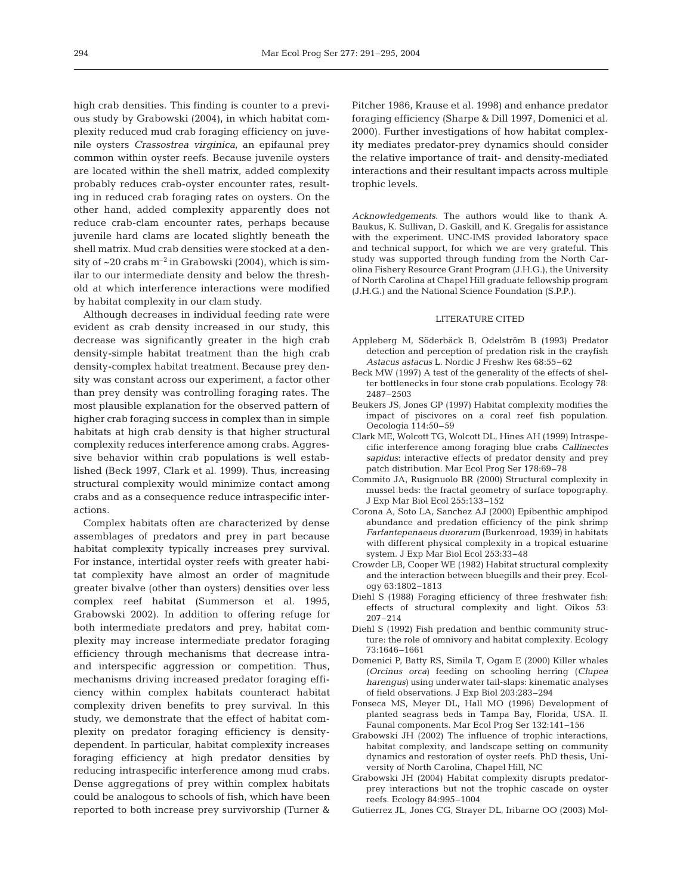high crab densities. This finding is counter to a previous study by Grabowski (2004), in which habitat complexity reduced mud crab foraging efficiency on juvenile oysters *Crassostrea virginica*, an epifaunal prey common within oyster reefs. Because juvenile oysters are located within the shell matrix, added complexity probably reduces crab-oyster encounter rates, resulting in reduced crab foraging rates on oysters. On the other hand, added complexity apparently does not reduce crab-clam encounter rates, perhaps because juvenile hard clams are located slightly beneath the shell matrix. Mud crab densities were stocked at a density of  $\sim$  20 crabs  $m^{-2}$  in Grabowski (2004), which is similar to our intermediate density and below the threshold at which interference interactions were modified by habitat complexity in our clam study.

Although decreases in individual feeding rate were evident as crab density increased in our study, this decrease was significantly greater in the high crab density-simple habitat treatment than the high crab density-complex habitat treatment. Because prey density was constant across our experiment, a factor other than prey density was controlling foraging rates. The most plausible explanation for the observed pattern of higher crab foraging success in complex than in simple habitats at high crab density is that higher structural complexity reduces interference among crabs. Aggressive behavior within crab populations is well established (Beck 1997, Clark et al. 1999). Thus, increasing structural complexity would minimize contact among crabs and as a consequence reduce intraspecific interactions.

Complex habitats often are characterized by dense assemblages of predators and prey in part because habitat complexity typically increases prey survival. For instance, intertidal oyster reefs with greater habitat complexity have almost an order of magnitude greater bivalve (other than oysters) densities over less complex reef habitat (Summerson et al. 1995, Grabowski 2002). In addition to offering refuge for both intermediate predators and prey, habitat complexity may increase intermediate predator foraging efficiency through mechanisms that decrease intraand interspecific aggression or competition. Thus, mechanisms driving increased predator foraging efficiency within complex habitats counteract habitat complexity driven benefits to prey survival. In this study, we demonstrate that the effect of habitat complexity on predator foraging efficiency is densitydependent. In particular, habitat complexity increases foraging efficiency at high predator densities by reducing intraspecific interference among mud crabs. Dense aggregations of prey within complex habitats could be analogous to schools of fish, which have been reported to both increase prey survivorship (Turner &

Pitcher 1986, Krause et al. 1998) and enhance predator foraging efficiency (Sharpe & Dill 1997, Domenici et al. 2000). Further investigations of how habitat complexity mediates predator-prey dynamics should consider the relative importance of trait- and density-mediated interactions and their resultant impacts across multiple trophic levels.

*Acknowledgements*. The authors would like to thank A. Baukus, K. Sullivan, D. Gaskill, and K. Gregalis for assistance with the experiment. UNC-IMS provided laboratory space and technical support, for which we are very grateful. This study was supported through funding from the North Carolina Fishery Resource Grant Program (J.H.G.), the University of North Carolina at Chapel Hill graduate fellowship program (J.H.G.) and the National Science Foundation (S.P.P.).

#### LITERATURE CITED

- Appleberg M, Söderbäck B, Odelström B (1993) Predator detection and perception of predation risk in the crayfish *Astacus astacus* L. Nordic J Freshw Res 68:55–62
- Beck MW (1997) A test of the generality of the effects of shelter bottlenecks in four stone crab populations. Ecology 78: 2487–2503
- Beukers JS, Jones GP (1997) Habitat complexity modifies the impact of piscivores on a coral reef fish population. Oecologia 114:50–59
- Clark ME, Wolcott TG, Wolcott DL, Hines AH (1999) Intraspecific interference among foraging blue crabs *Callinectes sapidus*: interactive effects of predator density and prey patch distribution. Mar Ecol Prog Ser 178:69–78
- Commito JA, Rusignuolo BR (2000) Structural complexity in mussel beds: the fractal geometry of surface topography. J Exp Mar Biol Ecol 255:133–152
- Corona A, Soto LA, Sanchez AJ (2000) Epibenthic amphipod abundance and predation efficiency of the pink shrimp *Farfantepenaeus duorarum* (Burkenroad, 1939) in habitats with different physical complexity in a tropical estuarine system. J Exp Mar Biol Ecol 253:33–48
- Crowder LB, Cooper WE (1982) Habitat structural complexity and the interaction between bluegills and their prey. Ecology 63:1802–1813
- Diehl S (1988) Foraging efficiency of three freshwater fish: effects of structural complexity and light. Oikos 53: 207–214
- Diehl S (1992) Fish predation and benthic community structure: the role of omnivory and habitat complexity. Ecology 73:1646–1661
- Domenici P, Batty RS, Simila T, Ogam E (2000) Killer whales (*Orcinus orca*) feeding on schooling herring (*Clupea harengus*) using underwater tail-slaps: kinematic analyses of field observations. J Exp Biol 203:283–294
- Fonseca MS, Meyer DL, Hall MO (1996) Development of planted seagrass beds in Tampa Bay, Florida, USA. II. Faunal components. Mar Ecol Prog Ser 132:141–156
- Grabowski JH (2002) The influence of trophic interactions, habitat complexity, and landscape setting on community dynamics and restoration of oyster reefs. PhD thesis, University of North Carolina, Chapel Hill, NC
- Grabowski JH (2004) Habitat complexity disrupts predatorprey interactions but not the trophic cascade on oyster reefs. Ecology 84:995–1004
- Gutierrez JL, Jones CG, Strayer DL, Iribarne OO (2003) Mol-